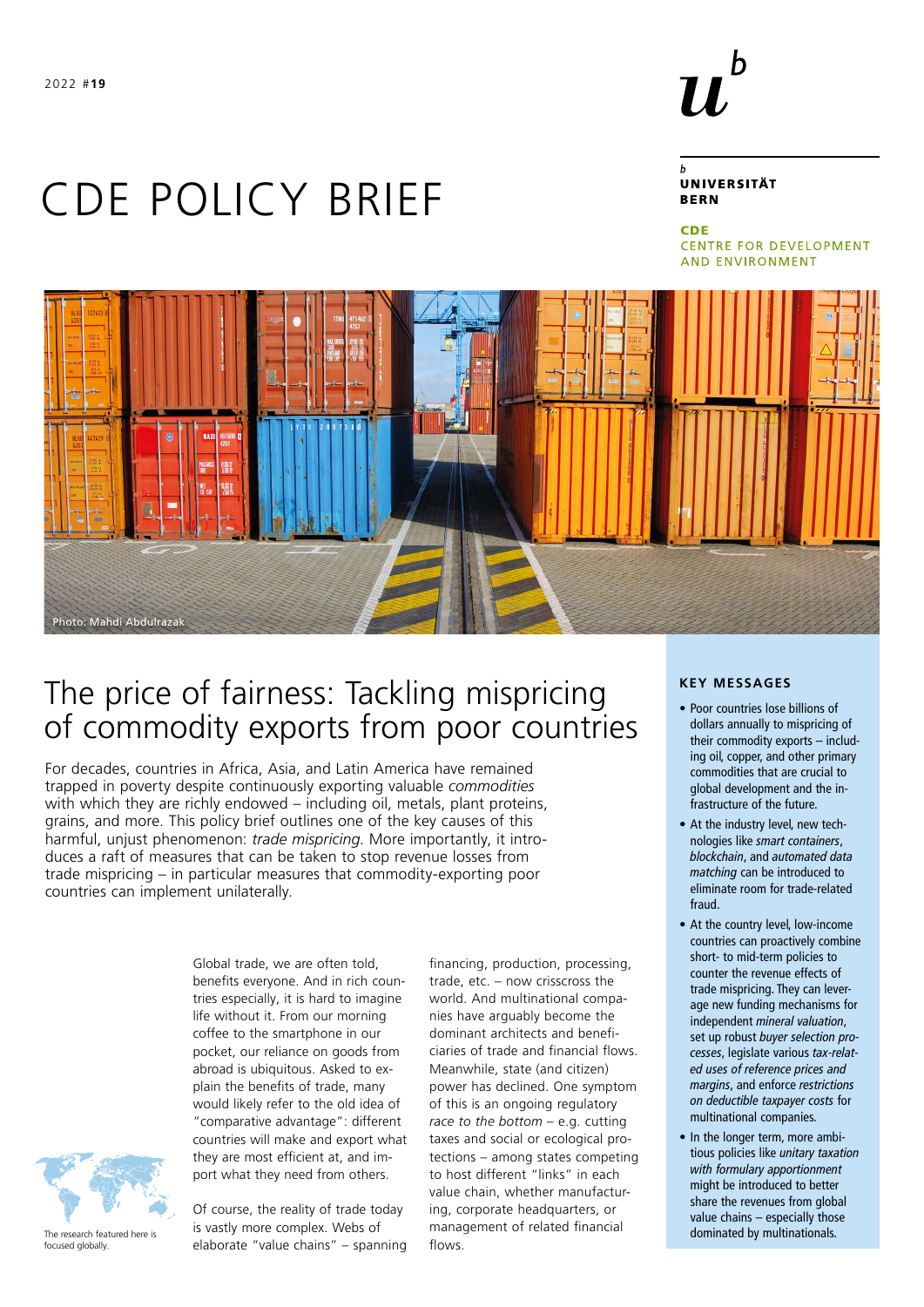

# **UNIVERSITÄT BERN**

**CDE CENTRE FOR DEVELOPMENT AND ENVIRONMENT** 



# The price of fairness: Tackling mispricing of commodity exports from poor countries

For decades, countries in Africa, Asia, and Latin America have remained trapped in poverty despite continuously exporting valuable *commodities* with which they are richly endowed – including oil, metals, plant proteins, grains, and more. This policy brief outlines one of the key causes of this harmful, unjust phenomenon: *trade mispricing*. More importantly, it introduces a raft of measures that can be taken to stop revenue losses from trade mispricing – in particular measures that commodity-exporting poor countries can implement unilaterally.

CDE POLICY BRIEF

Global trade, we are often told, benefits everyone. And in rich countries especially, it is hard to imagine life without it. From our morning coffee to the smartphone in our pocket, our reliance on goods from abroad is ubiquitous. Asked to explain the benefits of trade, many would likely refer to the old idea of "comparative advantage": different countries will make and export what they are most efficient at, and import what they need from others.



Photo: Mahdi Abdulrazak

The research featured here is focused globally.

Of course, the reality of trade today is vastly more complex. Webs of elaborate "value chains" – spanning financing, production, processing, trade, etc. – now crisscross the world. And multinational companies have arguably become the dominant architects and beneficiaries of trade and financial flows. Meanwhile, state (and citizen) power has declined. One symptom of this is an ongoing regulatory *race to the bottom* – e.g. cutting taxes and social or ecological protections – among states competing to host different "links" in each value chain, whether manufacturing, corporate headquarters, or management of related financial flows.

#### **KEY MESSAGES**

- Poor countries lose billions of dollars annually to mispricing of their commodity exports – including oil, copper, and other primary commodities that are crucial to global development and the infrastructure of the future.
- At the industry level, new technologies like *smart containers*, *blockchain*, and *automated data matching* can be introduced to eliminate room for trade-related fraud.
- At the country level, low-income countries can proactively combine short- to mid-term policies to counter the revenue effects of trade mispricing. They can leverage new funding mechanisms for independent *mineral valuation*, set up robust *buyer selection processes*, legislate various *tax-related uses of reference prices and margins*, and enforce *restrictions on deductible taxpayer costs* for multinational companies.
- In the longer term, more ambitious policies like *unitary taxation with formulary apportionment* might be introduced to better share the revenues from global value chains – especially those dominated by multinationals.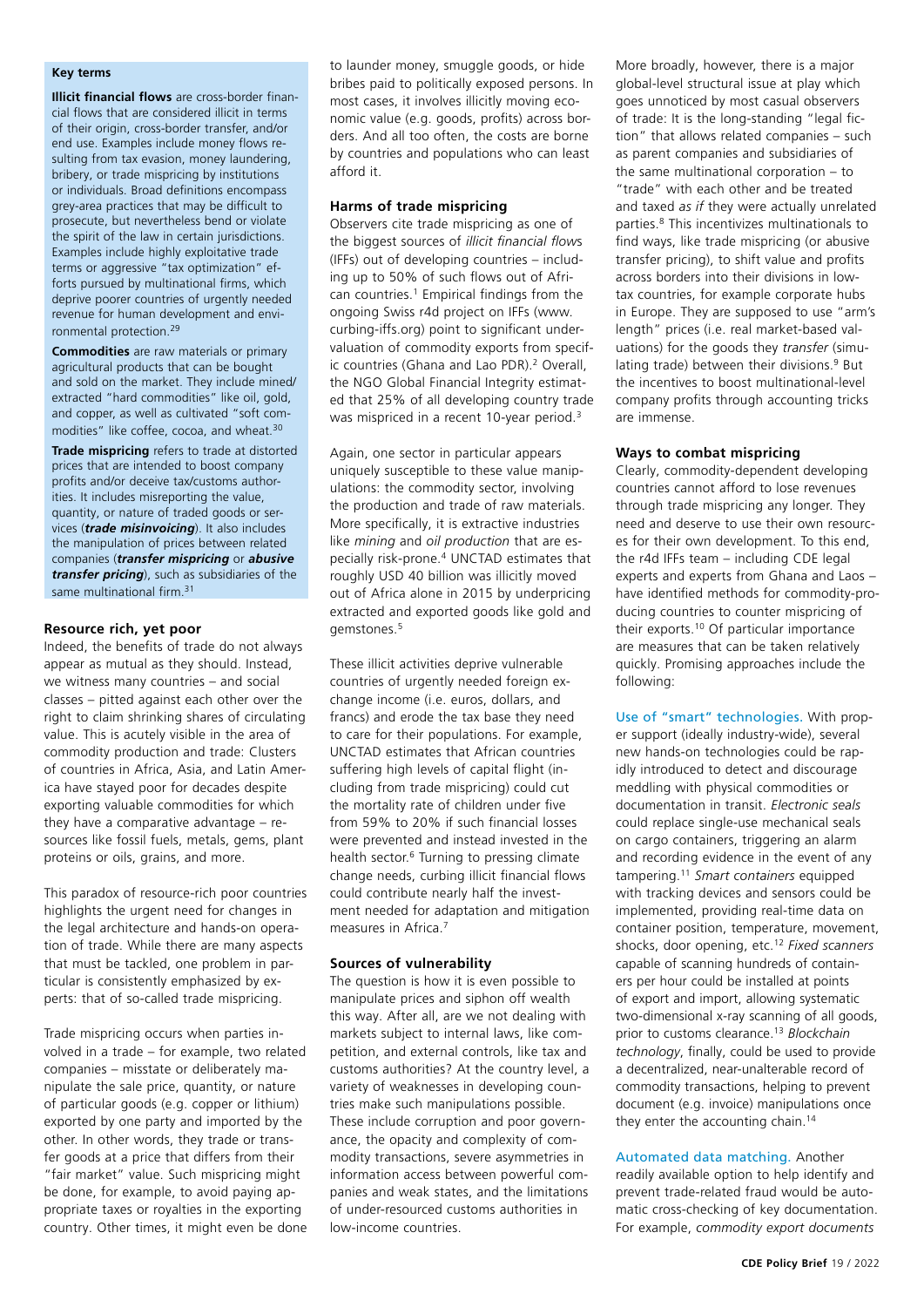#### **Key terms**

**Illicit financial flows** are cross-border financial flows that are considered illicit in terms of their origin, cross-border transfer, and/or end use. Examples include money flows resulting from tax evasion, money laundering, bribery, or trade mispricing by institutions or individuals. Broad definitions encompass grey-area practices that may be difficult to prosecute, but nevertheless bend or violate the spirit of the law in certain jurisdictions. Examples include highly exploitative trade terms or aggressive "tax optimization" efforts pursued by multinational firms, which deprive poorer countries of urgently needed revenue for human development and environmental protection.<sup>29</sup>

**Commodities** are raw materials or primary agricultural products that can be bought and sold on the market. They include mined/ extracted "hard commodities" like oil, gold, and copper, as well as cultivated "soft commodities" like coffee, cocoa, and wheat.<sup>30</sup>

**Trade mispricing** refers to trade at distorted prices that are intended to boost company profits and/or deceive tax/customs authorities. It includes misreporting the value, quantity, or nature of traded goods or services (*trade misinvoicing*). It also includes the manipulation of prices between related companies (*transfer mispricing* or *abusive transfer pricing*), such as subsidiaries of the same multinational firm.<sup>31</sup>

#### **Resource rich, yet poor**

Indeed, the benefits of trade do not always appear as mutual as they should. Instead, we witness many countries – and social classes – pitted against each other over the right to claim shrinking shares of circulating value. This is acutely visible in the area of commodity production and trade: Clusters of countries in Africa, Asia, and Latin America have stayed poor for decades despite exporting valuable commodities for which they have a comparative advantage – resources like fossil fuels, metals, gems, plant proteins or oils, grains, and more.

This paradox of resource-rich poor countries highlights the urgent need for changes in the legal architecture and hands-on operation of trade. While there are many aspects that must be tackled, one problem in particular is consistently emphasized by experts: that of so-called trade mispricing.

Trade mispricing occurs when parties involved in a trade – for example, two related companies – misstate or deliberately manipulate the sale price, quantity, or nature of particular goods (e.g. copper or lithium) exported by one party and imported by the other. In other words, they trade or transfer goods at a price that differs from their "fair market" value. Such mispricing might be done, for example, to avoid paying appropriate taxes or royalties in the exporting country. Other times, it might even be done to launder money, smuggle goods, or hide bribes paid to politically exposed persons. In most cases, it involves illicitly moving economic value (e.g. goods, profits) across borders. And all too often, the costs are borne by countries and populations who can least afford it.

# **Harms of trade mispricing**

Observers cite trade mispricing as one of the biggest sources of *illicit financial flow*s (IFFs) out of developing countries – including up to 50% of such flows out of African countries.<sup>1</sup> Empirical findings from the ongoing Swiss r4d project on IFFs ([www.](https://www.curbing-iffs.org) [curbing-iffs.org](https://www.curbing-iffs.org)) point to significant undervaluation of commodity exports from specific countries (Ghana and Lao PDR).<sup>2</sup> Overall, the NGO Global Financial Integrity estimated that 25% of all developing country trade was mispriced in a recent 10-year period.<sup>3</sup>

Again, one sector in particular appears uniquely susceptible to these value manipulations: the commodity sector, involving the production and trade of raw materials. More specifically, it is extractive industries like *mining* and *oil production* that are especially risk-prone.4 UNCTAD estimates that roughly USD 40 billion was illicitly moved out of Africa alone in 2015 by underpricing extracted and exported goods like gold and gemstones.5

These illicit activities deprive vulnerable countries of urgently needed foreign exchange income (i.e. euros, dollars, and francs) and erode the tax base they need to care for their populations. For example, UNCTAD estimates that African countries suffering high levels of capital flight (including from trade mispricing) could cut the mortality rate of children under five from 59% to 20% if such financial losses were prevented and instead invested in the health sector.6 Turning to pressing climate change needs, curbing illicit financial flows could contribute nearly half the investment needed for adaptation and mitigation measures in Africa.7

#### **Sources of vulnerability**

The question is how it is even possible to manipulate prices and siphon off wealth this way. After all, are we not dealing with markets subject to internal laws, like competition, and external controls, like tax and customs authorities? At the country level, a variety of weaknesses in developing countries make such manipulations possible. These include corruption and poor governance, the opacity and complexity of commodity transactions, severe asymmetries in information access between powerful companies and weak states, and the limitations of under-resourced customs authorities in low-income countries.

More broadly, however, there is a major global-level structural issue at play which goes unnoticed by most casual observers of trade: It is the long-standing "legal fiction" that allows related companies – such as parent companies and subsidiaries of the same multinational corporation – to "trade" with each other and be treated and taxed *as if* they were actually unrelated parties.8 This incentivizes multinationals to find ways, like trade mispricing (or abusive transfer pricing), to shift value and profits across borders into their divisions in lowtax countries, for example corporate hubs in Europe. They are supposed to use "arm's length" prices (i.e. real market-based valuations) for the goods they *transfer* (simulating trade) between their divisions.<sup>9</sup> But the incentives to boost multinational-level company profits through accounting tricks are immense.

#### **Ways to combat mispricing**

Clearly, commodity-dependent developing countries cannot afford to lose revenues through trade mispricing any longer. They need and deserve to use their own resources for their own development. To this end, the r4d IFFs team – including CDE legal experts and experts from Ghana and Laos – have identified methods for commodity-producing countries to counter mispricing of their exports.10 Of particular importance are measures that can be taken relatively quickly. Promising approaches include the following:

Use of "smart" technologies. With proper support (ideally industry-wide), several new hands-on technologies could be rapidly introduced to detect and discourage meddling with physical commodities or documentation in transit. *Electronic seals* could replace single-use mechanical seals on cargo containers, triggering an alarm and recording evidence in the event of any tampering.11 *Smart containers* equipped with tracking devices and sensors could be implemented, providing real-time data on container position, temperature, movement, shocks, door opening, etc.12 *Fixed scanners* capable of scanning hundreds of containers per hour could be installed at points of export and import, allowing systematic two-dimensional x-ray scanning of all goods, prior to customs clearance.13 *Blockchain technology*, finally, could be used to provide a decentralized, near-unalterable record of commodity transactions, helping to prevent document (e.g. invoice) manipulations once they enter the accounting chain.<sup>14</sup>

# Automated data matching. Another

readily available option to help identify and prevent trade-related fraud would be automatic cross-checking of key documentation. For example, *commodity export documents*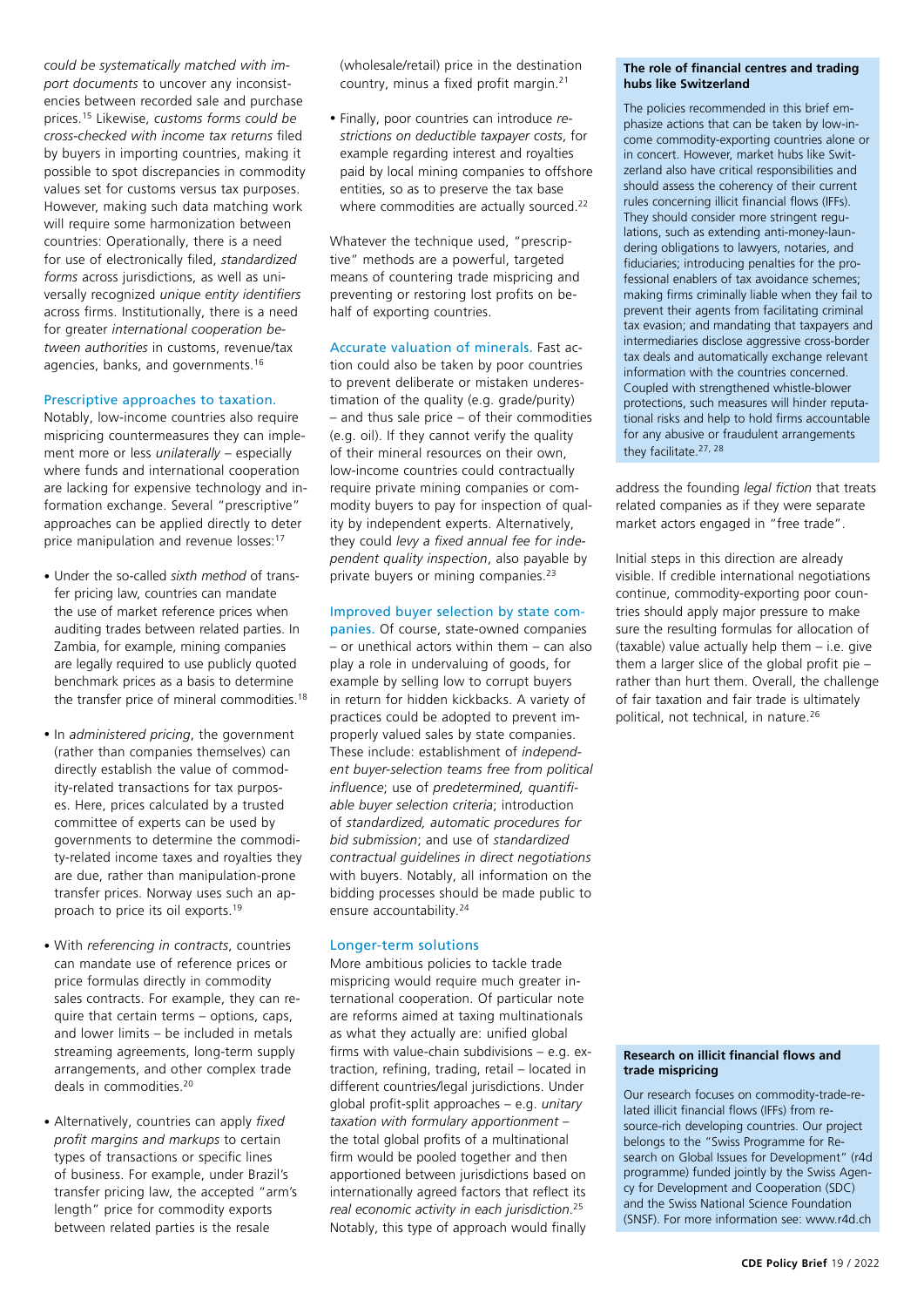*could be systematically matched with import documents* to uncover any inconsistencies between recorded sale and purchase prices.15 Likewise, *customs forms could be cross-checked with income tax returns* filed by buyers in importing countries, making it possible to spot discrepancies in commodity values set for customs versus tax purposes. However, making such data matching work will require some harmonization between countries: Operationally, there is a need for use of electronically filed, *standardized forms* across jurisdictions, as well as universally recognized *unique entity identifiers* across firms. Institutionally, there is a need for greater *international cooperation between authorities* in customs, revenue/tax agencies, banks, and governments.16

# Prescriptive approaches to taxation.

Notably, low-income countries also require mispricing countermeasures they can implement more or less *unilaterally* – especially where funds and international cooperation are lacking for expensive technology and information exchange. Several "prescriptive" approaches can be applied directly to deter price manipulation and revenue losses:<sup>17</sup>

- Under the so-called *sixth method* of transfer pricing law, countries can mandate the use of market reference prices when auditing trades between related parties. In Zambia, for example, mining companies are legally required to use publicly quoted benchmark prices as a basis to determine the transfer price of mineral commodities.<sup>18</sup>
- In *administered pricing*, the government (rather than companies themselves) can directly establish the value of commodity-related transactions for tax purposes. Here, prices calculated by a trusted committee of experts can be used by governments to determine the commodity-related income taxes and royalties they are due, rather than manipulation-prone transfer prices. Norway uses such an approach to price its oil exports.19
- With *referencing in contracts*, countries can mandate use of reference prices or price formulas directly in commodity sales contracts. For example, they can require that certain terms – options, caps, and lower limits – be included in metals streaming agreements, long-term supply arrangements, and other complex trade deals in commodities.20
- Alternatively, countries can apply *fixed profit margins and markups* to certain types of transactions or specific lines of business. For example, under Brazil's transfer pricing law, the accepted "arm's length" price for commodity exports between related parties is the resale

(wholesale/retail) price in the destination country, minus a fixed profit margin.21

• Finally, poor countries can introduce *restrictions on deductible taxpayer costs*, for example regarding interest and royalties paid by local mining companies to offshore entities, so as to preserve the tax base where commodities are actually sourced.<sup>22</sup>

Whatever the technique used, "prescriptive" methods are a powerful, targeted means of countering trade mispricing and preventing or restoring lost profits on behalf of exporting countries.

Accurate valuation of minerals. Fast action could also be taken by poor countries to prevent deliberate or mistaken underestimation of the quality (e.g. grade/purity) – and thus sale price – of their commodities (e.g. oil). If they cannot verify the quality of their mineral resources on their own, low-income countries could contractually require private mining companies or commodity buyers to pay for inspection of quality by independent experts. Alternatively, they could *levy a fixed annual fee for independent quality inspection*, also payable by private buyers or mining companies.23

# Improved buyer selection by state com-

panies. Of course, state-owned companies – or unethical actors within them – can also play a role in undervaluing of goods, for example by selling low to corrupt buyers in return for hidden kickbacks. A variety of practices could be adopted to prevent improperly valued sales by state companies. These include: establishment of *independent buyer-selection teams free from political influence*; use of *predetermined, quantifiable buyer selection criteria*; introduction of *standardized, automatic procedures for bid submission*; and use of *standardized contractual guidelines in direct negotiations*  with buyers. Notably, all information on the bidding processes should be made public to ensure accountability.24

# Longer-term solutions

More ambitious policies to tackle trade mispricing would require much greater international cooperation. Of particular note are reforms aimed at taxing multinationals as what they actually are: unified global firms with value-chain subdivisions – e.g. extraction, refining, trading, retail – located in different countries/legal jurisdictions. Under global profit-split approaches – e.g. *unitary taxation with formulary apportionment* – the total global profits of a multinational firm would be pooled together and then apportioned between jurisdictions based on internationally agreed factors that reflect its *real economic activity in each jurisdiction*. 25 Notably, this type of approach would finally

#### **The role of financial centres and trading hubs like Switzerland**

The policies recommended in this brief emphasize actions that can be taken by low-income commodity-exporting countries alone or in concert. However, market hubs like Switzerland also have critical responsibilities and should assess the coherency of their current rules concerning illicit financial flows (IFFs). They should consider more stringent regulations, such as extending anti-money-laundering obligations to lawyers, notaries, and fiduciaries; introducing penalties for the professional enablers of tax avoidance schemes; making firms criminally liable when they fail to prevent their agents from facilitating criminal tax evasion; and mandating that taxpayers and intermediaries disclose aggressive cross-border tax deals and automatically exchange relevant information with the countries concerned. Coupled with strengthened whistle-blower protections, such measures will hinder reputational risks and help to hold firms accountable for any abusive or fraudulent arrangements they facilitate.<sup>27, 28</sup>

address the founding *legal fiction* that treats related companies as if they were separate market actors engaged in "free trade".

Initial steps in this direction are already visible. If credible international negotiations continue, commodity-exporting poor countries should apply major pressure to make sure the resulting formulas for allocation of (taxable) value actually help them – i.e. give them a larger slice of the global profit pie – rather than hurt them. Overall, the challenge of fair taxation and fair trade is ultimately political, not technical, in nature.26

#### **Research on illicit financial flows and trade mispricing**

Our research focuses on commodity-trade-related illicit financial flows (IFFs) from resource-rich developing countries. Our project belongs to the "Swiss Programme for Research on Global Issues for Development" (r4d programme) funded jointly by the Swiss Agency for Development and Cooperation (SDC) and the Swiss National Science Foundation (SNSF). For more information see: [www.r4d.ch](http://www.r4d.ch)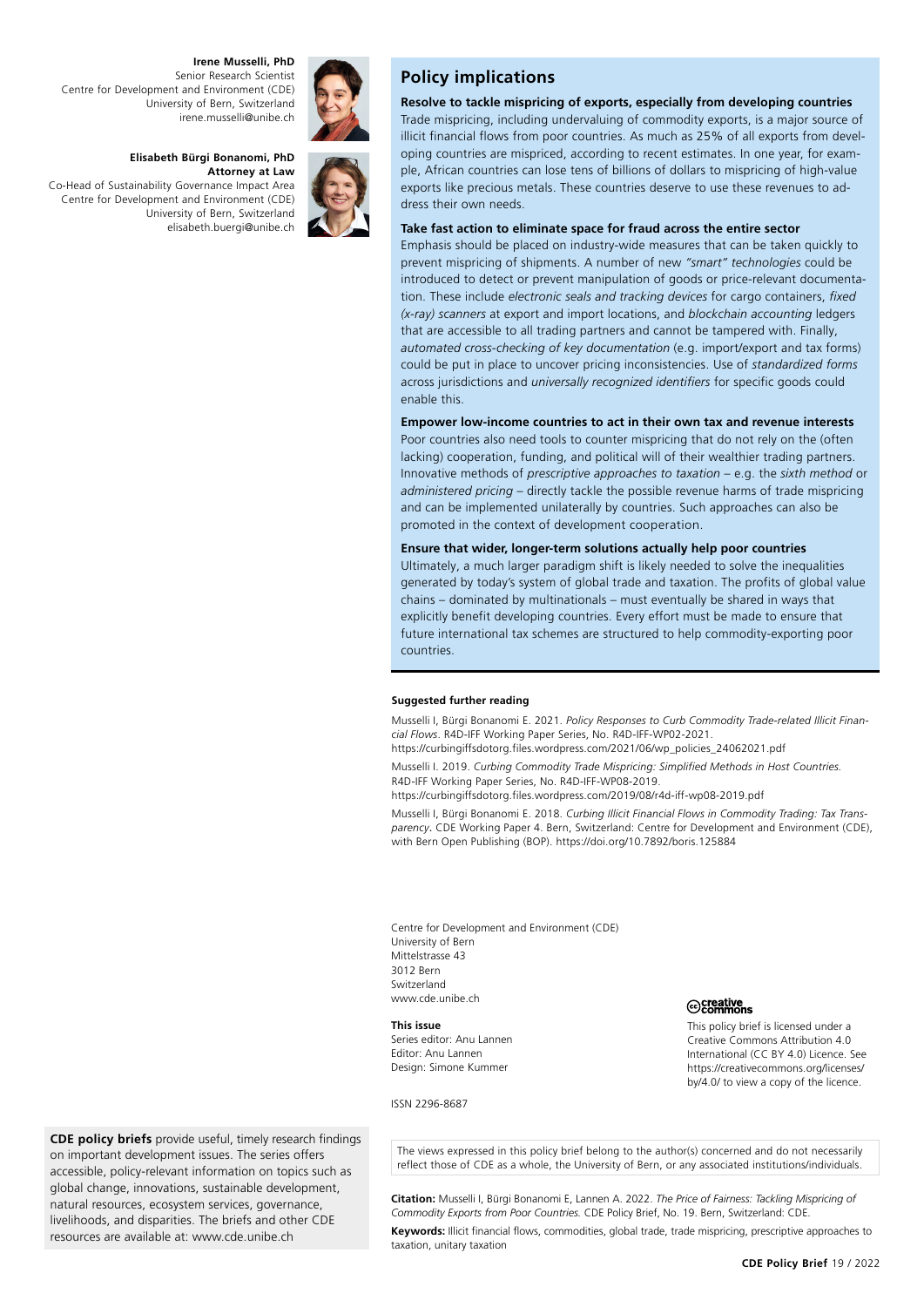**Irene Musselli, PhD** Senior Research Scientist Centre for Development and Environment (CDE) University of Bern, Switzerland [irene.musselli@unibe.ch](mailto:irene.musselli@unibe.ch)

# **Elisabeth Bürgi Bonanomi, PhD**

**Attorney at Law**  Co-Head of Sustainability Governance Impact Area Centre for Development and Environment (CDE) University of Bern, Switzerland [elisabeth.buergi@unibe.ch](javascript:window.location.href=)





# **Policy implications**

**Resolve to tackle mispricing of exports, especially from developing countries** Trade mispricing, including undervaluing of commodity exports, is a major source of illicit financial flows from poor countries. As much as 25% of all exports from developing countries are mispriced, according to recent estimates. In one year, for example, African countries can lose tens of billions of dollars to mispricing of high-value exports like precious metals. These countries deserve to use these revenues to address their own needs.

# **Take fast action to eliminate space for fraud across the entire sector**

Emphasis should be placed on industry-wide measures that can be taken quickly to prevent mispricing of shipments. A number of new *"smart" technologies* could be introduced to detect or prevent manipulation of goods or price-relevant documentation. These include *electronic seals and tracking devices* for cargo containers, *fixed (x-ray) scanners* at export and import locations, and *blockchain accounting* ledgers that are accessible to all trading partners and cannot be tampered with. Finally, *automated cross-checking of key documentation* (e.g. import/export and tax forms) could be put in place to uncover pricing inconsistencies. Use of *standardized forms* across jurisdictions and *universally recognized identifiers* for specific goods could enable this.

#### **Empower low-income countries to act in their own tax and revenue interests**

Poor countries also need tools to counter mispricing that do not rely on the (often lacking) cooperation, funding, and political will of their wealthier trading partners. Innovative methods of *prescriptive approaches to taxation* – e.g. the *sixth method* or *administered pricing* – directly tackle the possible revenue harms of trade mispricing and can be implemented unilaterally by countries. Such approaches can also be promoted in the context of development cooperation.

#### **Ensure that wider, longer-term solutions actually help poor countries**

Ultimately, a much larger paradigm shift is likely needed to solve the inequalities generated by today's system of global trade and taxation. The profits of global value chains – dominated by multinationals – must eventually be shared in ways that explicitly benefit developing countries. Every effort must be made to ensure that future international tax schemes are structured to help commodity-exporting poor countries.

#### **Suggested further reading**

Musselli I, Bürgi Bonanomi E. 2021. *Policy Responses to Curb Commodity Trade-related Illicit Financial Flows*. R4D-IFF Working Paper Series, No. R4D-IFF-WP02-2021.

[https://curbingiffsdotorg.files.wordpress.com/2021/06/wp\\_policies\\_24062021.pdf](https://curbingiffsdotorg.files.wordpress.com/2021/06/wp_policies_24062021.pdf)

Musselli I. 2019. *Curbing Commodity Trade Mispricing: Simplified Methods in Host Countries.* R4D-IFF Working Paper Series, No. R4D-IFF-WP08-2019.

<https://curbingiffsdotorg.files.wordpress.com/2019/08/r4d-iff-wp08-2019.pdf>

Musselli I, Bürgi Bonanomi E. 2018. *Curbing Illicit Financial Flows in Commodity Trading: Tax Transparency*. CDE Working Paper 4. Bern, Switzerland: Centre for Development and Environment (CDE), with Bern Open Publishing (BOP).<https://doi.org/10.7892/boris.125884>

Centre for Development and Environment (CDE) University of Bern Mittelstrasse 43 3012 Bern Switzerland [www.cde.unibe.ch](https://www.cde.unibe.ch)

#### **This issue**

Series editor: Anu Lannen Editor: Anu Lannen Design: Simone Kummer

#### ISSN 2296-8687

iecreative<br>
<del>⊙Commons</del>

This policy brief is licensed under a Creative Commons Attribution 4.0 International (CC BY 4.0) Licence. See [https://creativecommons.org/licenses/](https://creativecommons.org/licenses/by/4.0/) [by/4.0/ to view a copy of the licence](https://creativecommons.org/licenses/by/4.0/).

**CDE policy briefs** provide useful, timely research findings on important development issues. The series offers accessible, policy-relevant information on topics such as global change, innovations, sustainable development, natural resources, ecosystem services, governance, livelihoods, and disparities. The briefs and other CDE resources are available at: [www.cde.unibe.ch](https://www.cde.unibe.ch)

The views expressed in this policy brief belong to the author(s) concerned and do not necessarily reflect those of CDE as a whole, the University of Bern, or any associated institutions/individuals.

**Citation:** Musselli I, Bürgi Bonanomi E, Lannen A. 2022. *The Price of Fairness: Tackling Mispricing of Commodity Exports from Poor Countries.* CDE Policy Brief, No. 19. Bern, Switzerland: CDE.

**Keywords:** Illicit financial flows, commodities, global trade, trade mispricing, prescriptive approaches to taxation, unitary taxation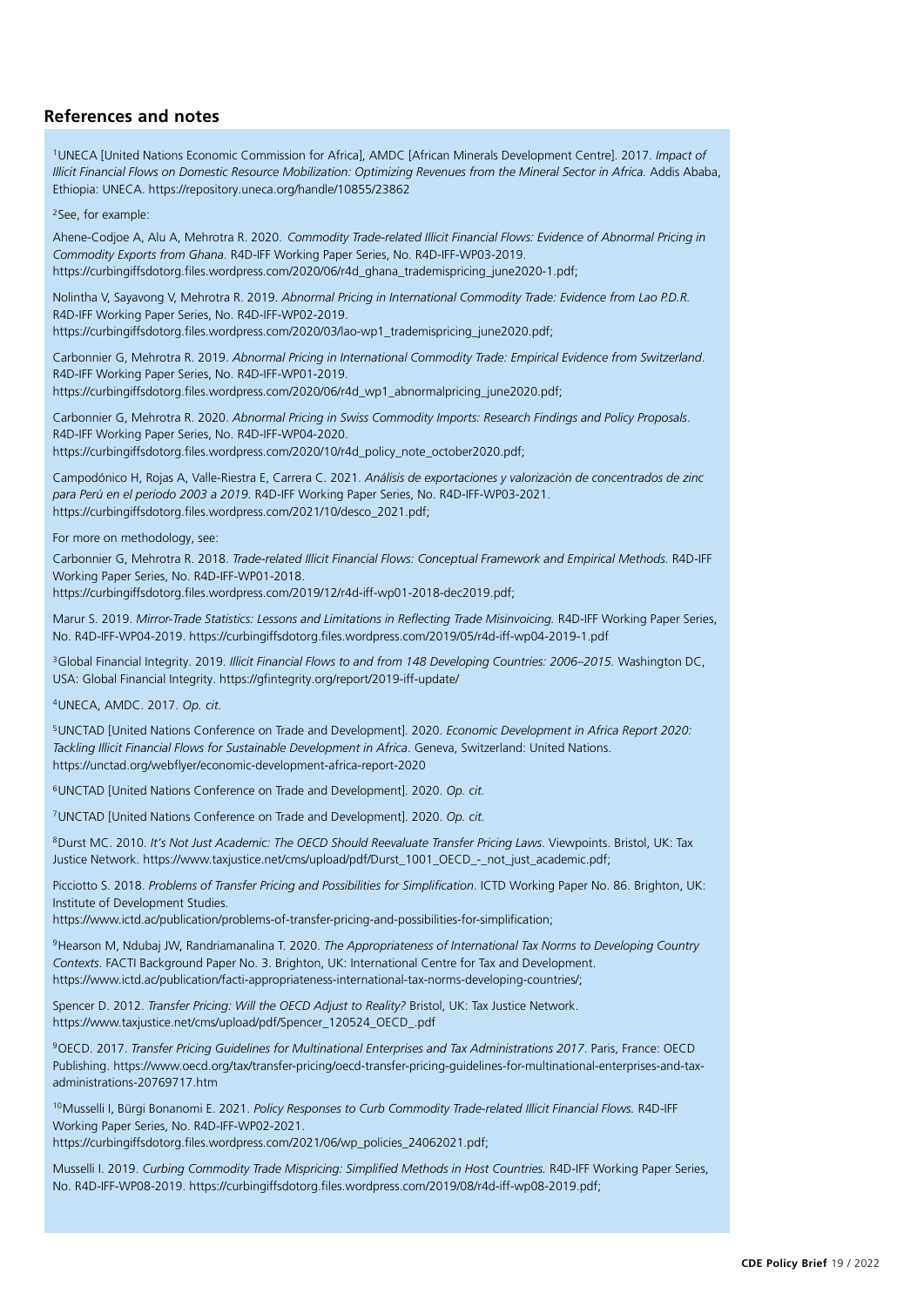# **References and notes**

1UNECA [United Nations Economic Commission for Africa], AMDC [African Minerals Development Centre]. 2017. *Impact of*  Illicit Financial Flows on Domestic Resource Mobilization: Optimizing Revenues from the Mineral Sector in Africa. Addis Ababa, Ethiopia: UNECA. <https://repository.uneca.org/handle/10855/23862>

2See, for example:

Ahene-Codjoe A, Alu A, Mehrotra R. 2020. *Commodity Trade-related Illicit Financial Flows: Evidence of Abnormal Pricing in Commodity Exports from Ghana*. R4D-IFF Working Paper Series, No. R4D-IFF-WP03-2019. [https://curbingiffsdotorg.files.wordpress.com/2020/06/r4d\\_ghana\\_trademispricing\\_june2020-1.pdf](https://curbingiffsdotorg.files.wordpress.com/2020/06/r4d_ghana_trademispricing_june2020-1.pdf);

Nolintha V, Sayavong V, Mehrotra R. 2019. *Abnormal Pricing in International Commodity Trade: Evidence from Lao P.D.R.* R4D-IFF Working Paper Series, No. R4D-IFF-WP02-2019.

[https://curbingiffsdotorg.files.wordpress.com/2020/03/lao-wp1\\_trademispricing\\_june2020.pdf](https://curbingiffsdotorg.files.wordpress.com/2020/03/lao-wp1_trademispricing_june2020.pdf);

Carbonnier G, Mehrotra R. 2019. *Abnormal Pricing in International Commodity Trade: Empirical Evidence from Switzerland*. R4D-IFF Working Paper Series, No. R4D-IFF-WP01-2019.

[https://curbingiffsdotorg.files.wordpress.com/2020/06/r4d\\_wp1\\_abnormalpricing\\_june2020.pdf](https://curbingiffsdotorg.files.wordpress.com/2020/06/r4d_wp1_abnormalpricing_june2020.pdf);

Carbonnier G, Mehrotra R. 2020. *Abnormal Pricing in Swiss Commodity Imports: Research Findings and Policy Proposals*. R4D-IFF Working Paper Series, No. R4D-IFF-WP04-2020. [https://curbingiffsdotorg.files.wordpress.com/2020/10/r4d\\_policy\\_note\\_october2020.pdf](https://curbingiffsdotorg.files.wordpress.com/2020/10/r4d_policy_note_october2020.pdf);

Campodónico H, Rojas A, Valle-Riestra E, Carrera C. 2021. *Análisis de exportaciones y valorización de concentrados de zinc para Perú en el periodo 2003 a 2019.* R4D-IFF Working Paper Series, No. R4D-IFF-WP03-2021. [https://curbingiffsdotorg.files.wordpress.com/2021/10/desco\\_2021.pdf;](https://curbingiffsdotorg.files.wordpress.com/2021/10/desco_2021.pdf)

For more on methodology, see:

Carbonnier G, Mehrotra R. 2018. *Trade-related Illicit Financial Flows: Conceptual Framework and Empirical Methods.* R4D-IFF Working Paper Series, No. R4D-IFF-WP01-2018.

[https://curbingiffsdotorg.files.wordpress.com/2019/12/r4d-iff-wp01-2018-dec2019.pdf;](https://curbingiffsdotorg.files.wordpress.com/2019/12/r4d-iff-wp01-2018-dec2019.pdf)

Marur S. 2019. *Mirror-Trade Statistics: Lessons and Limitations in Reflecting Trade Misinvoicing.* R4D-IFF Working Paper Series, No. R4D-IFF-WP04-2019.<https://curbingiffsdotorg.files.wordpress.com/2019/05/r4d-iff-wp04-2019-1.pdf>

3Global Financial Integrity. 2019. *Illicit Financial Flows to and from 148 Developing Countries: 2006–2015.* Washington DC, USA: Global Financial Integrity. <https://gfintegrity.org/report/2019-iff-update/>

4UNECA, AMDC. 2017. *Op. cit.*

5UNCTAD [United Nations Conference on Trade and Development]. 2020. *Economic Development in Africa Report 2020: Tackling Illicit Financial Flows for Sustainable Development in Africa*. Geneva, Switzerland: United Nations. <https://unctad.org/webflyer/economic-development-africa-report-2020>

6UNCTAD [United Nations Conference on Trade and Development]. 2020. *Op. cit.*

7UNCTAD [United Nations Conference on Trade and Development]. 2020. *Op. cit.*

8Durst MC. 2010. *It's Not Just Academic: The OECD Should Reevaluate Transfer Pricing Laws*. Viewpoints. Bristol, UK: Tax Justice Network. [https://www.taxjustice.net/cms/upload/pdf/Durst\\_1001\\_OECD\\_-\\_not\\_just\\_academic.pdf](https://www.taxjustice.net/cms/upload/pdf/Durst_1001_OECD_-_not_just_academic.pdf);

Picciotto S. 2018. *Problems of Transfer Pricing and Possibilities for Simplification*. ICTD Working Paper No. 86. Brighton, UK: Institute of Development Studies.

<https://www.ictd.ac/publication/problems-of-transfer-pricing-and-possibilities-for-simplification>;

9Hearson M, Ndubaj JW, Randriamanalina T. 2020. *The Appropriateness of International Tax Norms to Developing Country Contexts*. FACTI Background Paper No. 3. Brighton, UK: International Centre for Tax and Development. <https://www.ictd.ac/publication/facti-appropriateness-international-tax-norms-developing-countries/>;

Spencer D. 2012. *Transfer Pricing: Will the OECD Adjust to Reality?* Bristol, UK: Tax Justice Network. [https://www.taxjustice.net/cms/upload/pdf/Spencer\\_120524\\_OECD\\_.pdf](https://www.taxjustice.net/cms/upload/pdf/Spencer_120524_OECD_.pdf)

9OECD. 2017. *Transfer Pricing Guidelines for Multinational Enterprises and Tax Administrations 2017*. Paris, France: OECD Publishing. [https://www.oecd.org/tax/transfer-pricing/oecd-transfer-pricing-guidelines-for-multinational-enterprises-and-tax](https://www.oecd.org/tax/transfer-pricing/oecd-transfer-pricing-guidelines-for-multinational-enterprises-and-tax-administrations-20769717.htm)[administrations-20769717.htm](https://www.oecd.org/tax/transfer-pricing/oecd-transfer-pricing-guidelines-for-multinational-enterprises-and-tax-administrations-20769717.htm)

<sup>10</sup>Musselli I, Bürgi Bonanomi E. 2021. Policy Responses to Curb Commodity Trade-related Illicit Financial Flows. R4D-IFF Working Paper Series, No. R4D-IFF-WP02-2021.

[https://curbingiffsdotorg.files.wordpress.com/2021/06/wp\\_policies\\_24062021.pdf;](https://curbingiffsdotorg.files.wordpress.com/2021/06/wp_policies_24062021.pdf)

Musselli I. 2019. *Curbing Commodity Trade Mispricing: Simplified Methods in Host Countries. RAD-IFF Working Paper Series,* No. R4D-IFF-WP08-2019.<https://curbingiffsdotorg.files.wordpress.com/2019/08/r4d-iff-wp08-2019.pdf>;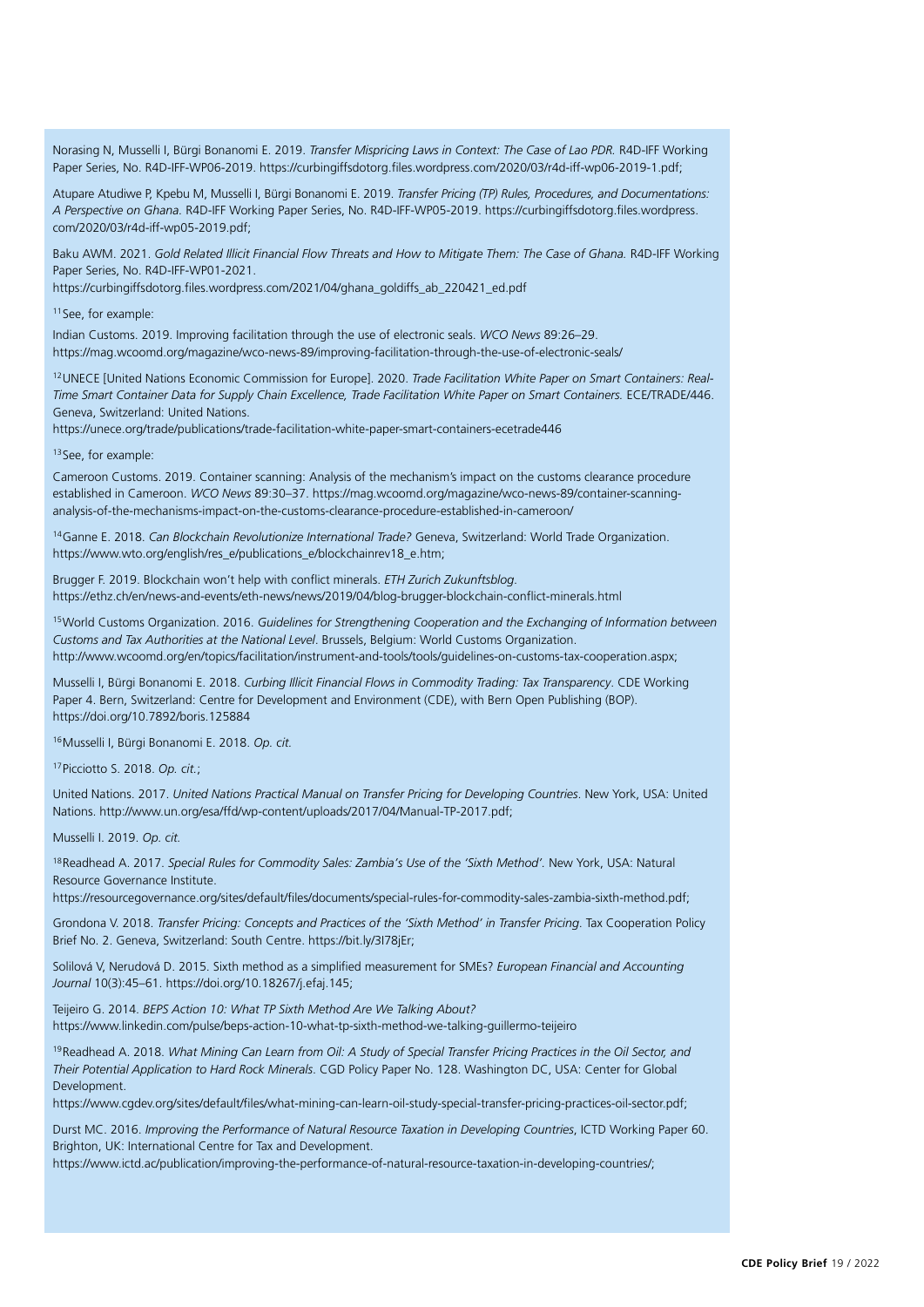Norasing N, Musselli I, Bürgi Bonanomi E. 2019. *Transfer Mispricing Laws in Context: The Case of Lao PDR*. R4D-IFF Working Paper Series, No. R4D-IFF-WP06-2019. [https://curbingiffsdotorg.files.wordpress.com/2020/03/r4d-iff-wp06-2019-1.pdf;](https://curbingiffsdotorg.files.wordpress.com/2020/03/r4d-iff-wp06-2019-1.pdf)

Atupare Atudiwe P, Kpebu M, Musselli I, Bürgi Bonanomi E. 2019. *Transfer Pricing (TP) Rules, Procedures, and Documentations: A Perspective on Ghana.* R4D-IFF Working Paper Series, No. R4D-IFF-WP05-2019. [https://curbingiffsdotorg.files.wordpress.](https://curbingiffsdotorg.files.wordpress.com/2020/03/r4d-iff-wp05-2019.pdf) [com/2020/03/r4d-iff-wp05-2019.pdf;](https://curbingiffsdotorg.files.wordpress.com/2020/03/r4d-iff-wp05-2019.pdf)

Baku AWM. 2021. Gold Related Illicit Financial Flow Threats and How to Mitigate Them: The Case of Ghana. R4D-IFF Working Paper Series, No. R4D-IFF-WP01-2021.

[https://curbingiffsdotorg.files.wordpress.com/2021/04/ghana\\_goldiffs\\_ab\\_220421\\_ed.pdf](https://curbingiffsdotorg.files.wordpress.com/2021/04/ghana_goldiffs_ab_220421_ed.pdf)

11See, for example:

Indian Customs. 2019. Improving facilitation through the use of electronic seals. *WCO News* 89:26–29. <https://mag.wcoomd.org/magazine/wco-news-89/improving-facilitation-through-the-use-of-electronic-seals/>

12UNECE [United Nations Economic Commission for Europe]. 2020. *Trade Facilitation White Paper on Smart Containers: Real-Time Smart Container Data for Supply Chain Excellence, Trade Facilitation White Paper on Smart Containers.* ECE/TRADE/446. Geneva, Switzerland: United Nations.

<https://unece.org/trade/publications/trade-facilitation-white-paper-smart-containers-ecetrade446>

13 See, for example:

Cameroon Customs. 2019. Container scanning: Analysis of the mechanism's impact on the customs clearance procedure established in Cameroon. *WCO News* 89:30–37. [https://mag.wcoomd.org/magazine/wco-news-89/container-scanning](https://mag.wcoomd.org/magazine/wco-news-89/container-scanning-analysis-of-the-mechanisms-impact-on-the-customs-clearance-procedure-established-in-cameroon/)[analysis-of-the-mechanisms-impact-on-the-customs-clearance-procedure-established-in-cameroon/](https://mag.wcoomd.org/magazine/wco-news-89/container-scanning-analysis-of-the-mechanisms-impact-on-the-customs-clearance-procedure-established-in-cameroon/)

14Ganne E. 2018. *Can Blockchain Revolutionize International Trade?* Geneva, Switzerland: World Trade Organization. [https://www.wto.org/english/res\\_e/publications\\_e/blockchainrev18\\_e.htm](https://www.wto.org/english/res_e/publications_e/blockchainrev18_e.htm);

Brugger F. 2019. Blockchain won't help with conflict minerals. *ETH Zurich Zukunftsblog*. <https://ethz.ch/en/news-and-events/eth-news/news/2019/04/blog-brugger-blockchain-conflict-minerals.html>

15World Customs Organization. 2016. *Guidelines for Strengthening Cooperation and the Exchanging of Information between Customs and Tax Authorities at the National Level*. Brussels, Belgium: World Customs Organization. [http://www.wcoomd.org/en/topics/facilitation/instrument-and-tools/tools/guidelines-on-customs-tax-cooperation.aspx;](http://www.wcoomd.org/en/topics/facilitation/instrument-and-tools/tools/guidelines-on-customs-tax-cooperation.aspx)

Musselli I, Bürgi Bonanomi E. 2018. *Curbing Illicit Financial Flows in Commodity Trading: Tax Transparency*. CDE Working Paper 4. Bern, Switzerland: Centre for Development and Environment (CDE), with Bern Open Publishing (BOP). <https://doi.org/10.7892/boris.125884>

16Musselli I, Bürgi Bonanomi E. 2018. *Op. cit.*

17Picciotto S. 2018. *Op. cit.*;

United Nations. 2017. *United Nations Practical Manual on Transfer Pricing for Developing Countries*. New York, USA: United Nations.<http://www.un.org/esa/ffd/wp-content/uploads/2017/04/Manual-TP-2017.pdf>;

Musselli I. 2019. *Op. cit.*

18Readhead A. 2017. *Special Rules for Commodity Sales: Zambia's Use of the 'Sixth Method'.* New York, USA: Natural Resource Governance Institute.

<https://resourcegovernance.org/sites/default/files/documents/special-rules-for-commodity-sales-zambia-sixth-method.pdf>;

Grondona V. 2018. *Transfer Pricing: Concepts and Practices of the 'Sixth Method' in Transfer Pricing*. Tax Cooperation Policy Brief No. 2. Geneva, Switzerland: South Centre. https://bit.ly/3I78jEr;

Solilová V, Nerudová D. 2015. Sixth method as a simplified measurement for SMEs? *European Financial and Accounting Journal* 10(3):45–61. <https://doi.org/10.18267/j.efaj.145>;

Teijeiro G. 2014. *BEPS Action 10: What TP Sixth Method Are We Talking About?* <https://www.linkedin.com/pulse/beps-action-10-what-tp-sixth-method-we-talking-guillermo-teijeiro>

19Readhead A. 2018. *What Mining Can Learn from Oil: A Study of Special Transfer Pricing Practices in the Oil Sector, and Their Potential Application to Hard Rock Minerals*. CGD Policy Paper No. 128. Washington DC, USA: Center for Global Development.

[https://www.cgdev.org/sites/default/files/what-mining-can-learn-oil-study-special-transfer-pricing-practices-oil-sector.pdf;](https://www.cgdev.org/sites/default/files/what-mining-can-learn-oil-study-special-transfer-pricing-practices-oil-sector.pdf)

Durst MC. 2016. *Improving the Performance of Natural Resource Taxation in Developing Countries*, ICTD Working Paper 60. Brighton, UK: International Centre for Tax and Development.

[https://www.ictd.ac/publication/improving-the-performance-of-natural-resource-taxation-in-developing-countries/;](https://www.ictd.ac/publication/improving-the-performance-of-natural-resource-taxation-in-developing-countries/)